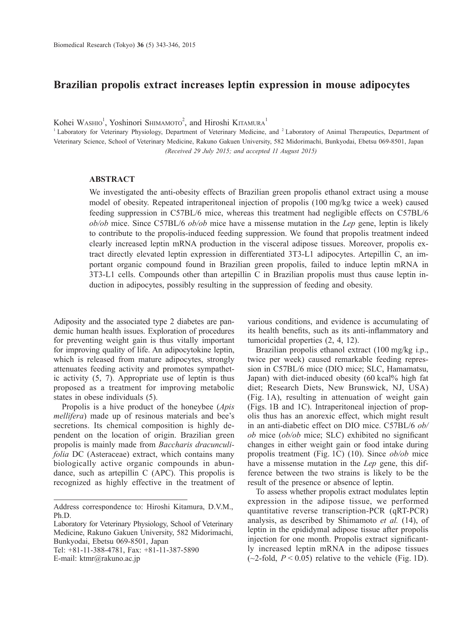## **Brazilian propolis extract increases leptin expression in mouse adipocytes**

Kohei Washo<sup>1</sup>, Yoshinori Shimamoto<sup>2</sup>, and Hiroshi Kitamura<sup>1</sup>

<sup>1</sup> Laboratory for Veterinary Physiology, Department of Veterinary Medicine, and <sup>2</sup> Laboratory of Animal Therapeutics, Department of Veterinary Science, School of Veterinary Medicine, Rakuno Gakuen University, 582 Midorimachi, Bunkyodai, Ebetsu 069-8501, Japan *(Received 29 July 2015; and accepted 11 August 2015)*

## **ABSTRACT**

We investigated the anti-obesity effects of Brazilian green propolis ethanol extract using a mouse model of obesity. Repeated intraperitoneal injection of propolis (100 mg/kg twice a week) caused feeding suppression in C57BL/6 mice, whereas this treatment had negligible effects on C57BL/6 *ob/ob* mice. Since C57BL/6 *ob/ob* mice have a missense mutation in the *Lep* gene, leptin is likely to contribute to the propolis-induced feeding suppression. We found that propolis treatment indeed clearly increased leptin mRNA production in the visceral adipose tissues. Moreover, propolis extract directly elevated leptin expression in differentiated 3T3-L1 adipocytes. Artepillin C, an important organic compound found in Brazilian green propolis, failed to induce leptin mRNA in 3T3-L1 cells. Compounds other than artepillin C in Brazilian propolis must thus cause leptin induction in adipocytes, possibly resulting in the suppression of feeding and obesity.

Adiposity and the associated type 2 diabetes are pandemic human health issues. Exploration of procedures for preventing weight gain is thus vitally important for improving quality of life. An adipocytokine leptin, which is released from mature adipocytes, strongly attenuates feeding activity and promotes sympathetic activity (5, 7). Appropriate use of leptin is thus proposed as a treatment for improving metabolic states in obese individuals (5).

Propolis is a hive product of the honeybee (*Apis mellifera*) made up of resinous materials and bee's secretions. Its chemical composition is highly dependent on the location of origin. Brazilian green propolis is mainly made from *Baccharis dracunculifolia* DC (Asteraceae) extract, which contains many biologically active organic compounds in abundance, such as artepillin C (APC). This propolis is recognized as highly effective in the treatment of various conditions, and evidence is accumulating of its health benefits, such as its anti-inflammatory and tumoricidal properties (2, 4, 12).

Brazilian propolis ethanol extract (100 mg/kg i.p., twice per week) caused remarkable feeding repression in C57BL/6 mice (DIO mice; SLC, Hamamatsu, Japan) with diet-induced obesity (60 kcal% high fat diet; Research Diets, New Brunswick, NJ, USA) (Fig. 1A), resulting in attenuation of weight gain (Figs. 1B and 1C). Intraperitoneal injection of propolis thus has an anorexic effect, which might result in an anti-diabetic effect on DIO mice. C57BL/6 *ob/ ob* mice (*ob/ob* mice; SLC) exhibited no significant changes in either weight gain or food intake during propolis treatment (Fig. 1C) (10). Since *ob/ob* mice have a missense mutation in the *Lep* gene, this difference between the two strains is likely to be the result of the presence or absence of leptin.

To assess whether propolis extract modulates leptin expression in the adipose tissue, we performed quantitative reverse transcription-PCR (qRT-PCR) analysis, as described by Shimamoto *et al.* (14), of leptin in the epididymal adipose tissue after propolis injection for one month. Propolis extract significantly increased leptin mRNA in the adipose tissues  $(-2$ -fold,  $P < 0.05$ ) relative to the vehicle (Fig. 1D).

Address correspondence to: Hiroshi Kitamura, D.V.M., Ph.D.

Laboratory for Veterinary Physiology, School of Veterinary Medicine, Rakuno Gakuen University, 582 Midorimachi, Bunkyodai, Ebetsu 069-8501, Japan

Tel: +81-11-388-4781, Fax: +81-11-387-5890 E-mail: ktmr@rakuno.ac.jp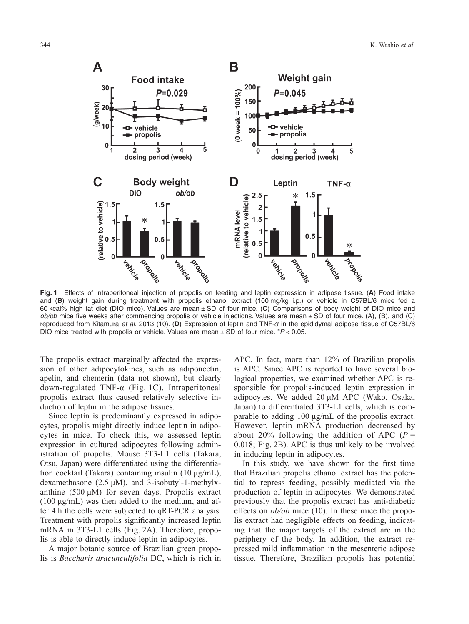

**Fig. 1** Effects of intraperitoneal injection of propolis on feeding and leptin expression in adipose tissue. (**A**) Food intake and (**B**) weight gain during treatment with propolis ethanol extract (100 mg/kg i.p.) or vehicle in C57BL/6 mice fed a 60 kcal% high fat diet (DIO mice). Values are mean ± SD of four mice. (**C**) Comparisons of body weight of DIO mice and *ob/ob* mice five weeks after commencing propolis or vehicle injections. Values are mean ± SD of four mice. (A), (B), and (C) reproduced from Kitamura *et al.* 2013 (10). (**D**) Expression of leptin and TNF-α in the epididymal adipose tissue of C57BL/6 DIO mice treated with propolis or vehicle. Values are mean  $\pm$  SD of four mice.  $*P < 0.05$ .

The propolis extract marginally affected the expression of other adipocytokines, such as adiponectin, apelin, and chemerin (data not shown), but clearly down-regulated TNF-α (Fig. 1C). Intraperitoneal propolis extract thus caused relatively selective induction of leptin in the adipose tissues.

Since leptin is predominantly expressed in adipocytes, propolis might directly induce leptin in adipocytes in mice. To check this, we assessed leptin expression in cultured adipocytes following administration of propolis. Mouse 3T3-L1 cells (Takara, Otsu, Japan) were differentiated using the differentiation cocktail (Takara) containing insulin (10 μg/mL), dexamethasone (2.5 μM), and 3-isobutyl-1-methylxanthine (500  $\mu$ M) for seven days. Propolis extract (100  $\mu$ g/mL) was then added to the medium, and after 4 h the cells were subjected to qRT-PCR analysis. Treatment with propolis significantly increased leptin mRNA in 3T3-L1 cells (Fig. 2A). Therefore, propolis is able to directly induce leptin in adipocytes.

A major botanic source of Brazilian green propolis is *Baccharis dracunculifolia* DC, which is rich in APC. In fact, more than 12% of Brazilian propolis is APC. Since APC is reported to have several biological properties, we examined whether APC is responsible for propolis-induced leptin expression in adipocytes. We added 20 μM APC (Wako, Osaka, Japan) to differentiated 3T3-L1 cells, which is comparable to adding 100 μg/mL of the propolis extract. However, leptin mRNA production decreased by about 20% following the addition of APC  $(P =$ 0.018; Fig. 2B). APC is thus unlikely to be involved in inducing leptin in adipocytes.

In this study, we have shown for the first time that Brazilian propolis ethanol extract has the potential to repress feeding, possibly mediated via the production of leptin in adipocytes. We demonstrated previously that the propolis extract has anti-diabetic effects on *ob/ob* mice (10). In these mice the propolis extract had negligible effects on feeding, indicating that the major targets of the extract are in the periphery of the body. In addition, the extract repressed mild inflammation in the mesenteric adipose tissue. Therefore, Brazilian propolis has potential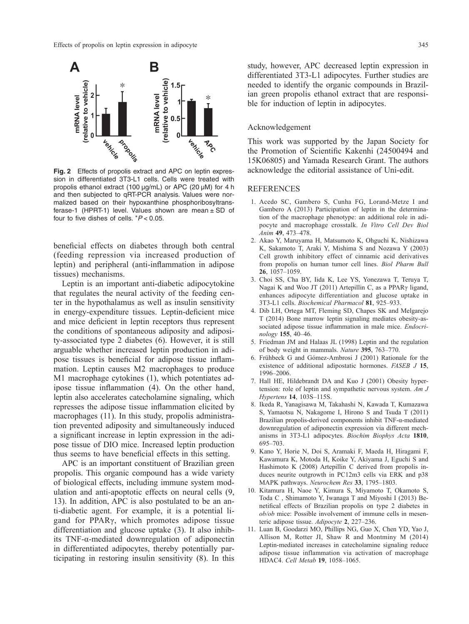

**Fig. 2** Effects of propolis extract and APC on leptin expression in differentiated 3T3-L1 cells. Cells were treated with propolis ethanol extract (100 μg/mL) or APC (20 μM) for 4 h and then subjected to qRT-PCR analysis. Values were normalized based on their hypoxanthine phosphoribosyltransferase-1 (HPRT-1) level. Values shown are mean  $\pm$  SD of four to five dishes of cells. \**P* < 0.05.

beneficial effects on diabetes through both central (feeding repression via increased production of leptin) and peripheral (anti-inflammation in adipose tissues) mechanisms.

Leptin is an important anti-diabetic adipocytokine that regulates the neural activity of the feeding center in the hypothalamus as well as insulin sensitivity in energy-expenditure tissues. Leptin-deficient mice and mice deficient in leptin receptors thus represent the conditions of spontaneous adiposity and adiposity-associated type 2 diabetes (6). However, it is still arguable whether increased leptin production in adipose tissues is beneficial for adipose tissue inflammation. Leptin causes M2 macrophages to produce M1 macrophage cytokines (1), which potentiates adipose tissue inflammation (4). On the other hand, leptin also accelerates catecholamine signaling, which represses the adipose tissue inflammation elicited by macrophages (11). In this study, propolis administration prevented adiposity and simultaneously induced a significant increase in leptin expression in the adipose tissue of DIO mice. Increased leptin production thus seems to have beneficial effects in this setting.

APC is an important constituent of Brazilian green propolis. This organic compound has a wide variety of biological effects, including immune system modulation and anti-apoptotic effects on neural cells (9, 13). In addition, APC is also postulated to be an anti-diabetic agent. For example, it is a potential ligand for PPARγ, which promotes adipose tissue differentiation and glucose uptake (3). It also inhibits TNF-α-mediated downregulation of adiponectin in differentiated adipocytes, thereby potentially participating in restoring insulin sensitivity (8). In this study, however, APC decreased leptin expression in differentiated 3T3-L1 adipocytes. Further studies are needed to identify the organic compounds in Brazilian green propolis ethanol extract that are responsible for induction of leptin in adipocytes.

## Acknowledgement

This work was supported by the Japan Society for the Promotion of Scientific Kakenhi (24500494 and 15K06805) and Yamada Research Grant. The authors acknowledge the editorial assistance of Uni-edit.

## REFERENCES

- 1. Acedo SC, Gambero S, Cunha FG, Lorand-Metze I and Gambero A (2013) Participation of leptin in the determination of the macrophage phenotype: an additional role in adipocyte and macrophage crosstalk. *In Vitro Cell Dev Biol Anim* **49**, 473–478.
- 2. Akao Y, Maruyama H, Matsumoto K, Ohguchi K, Nishizawa K, Sakamoto T, Araki Y, Mishima S and Nozawa Y (2003) Cell growth inhibitory effect of cinnamic acid derivatives from propolis on human tumor cell lines. *Biol Pharm Bull* **26**, 1057–1059.
- 3. Choi SS, Cha BY, Iida K, Lee YS, Yonezawa T, Teruya T, Nagai K and Woo JT (2011) Artepillin C, as a PPARγ ligand, enhances adipocyte differentiation and glucose uptake in 3T3-L1 cells. *Biochemical Pharmacol* **81**, 925–933.
- 4. Dib LH, Ortega MT, Fleming SD, Chapes SK and Melgarejo T (2014) Bone marrow leptin signaling mediates obesity-associated adipose tissue inflammation in male mice. *Endocrinology* **155**, 40–46.
- 5. Friedman JM and Halaas JL (1998) Leptin and the regulation of body weight in mammals. *Nature* **395**, 763–770.
- 6. Frühbeck G and Gómez-Ambrosi J (2001) Rationale for the existence of additional adipostatic hormones. *FASEB J* **15**, 1996–2006.
- 7. Hall HE, Hildebrandt DA and Kuo J (2001) Obesity hypertension: role of leptin and sympathetic nervous system. *Am J Hypertens* **14**, 103S–115S.
- 8. Ikeda R, Yanagisawa M, Takahashi N, Kawada T, Kumazawa S, Yamaotsu N, Nakagome I, Hirono S and Tsuda T (2011) Brazilian propolis-derived components inhibit TNF-α-mediated downregulation of adiponectin expression via different mechanisms in 3T3-L1 adipocytes. *Biochim Biophys Acta* **1810**, 695–703.
- 9. Kano Y, Horie N, Doi S, Aramaki F, Maeda H, Hiragami F, Kawamura K, Motoda H, Koike Y, Akiyama J, Eguchi S and Hashimoto K (2008) Artepillin C derived from propolis induces neurite outgrowth in PC12m3 cells via ERK and p38 MAPK pathways. *Neurochem Res* **33**, 1795–1803.
- 10. Kitamura H, Naoe Y, Kimura S, Miyamoto T, Okamoto S, Toda C , Shimamoto Y, Iwanaga T and Miyoshi I (2013) Benetifical effects of Brazilian propolis on type 2 diabetes in *ob/ob* mice: Possible involvement of immune cells in mesenteric adipose tissue. *Adipocyte* **2**, 227–236.
- 11. Luan B, Goodarzi MO, Phillips NG, Guo X, Chen YD, Yao J, Allison M, Rotter JI, Shaw R and Montminy M (2014) Leptin-mediated increases in catecholamine signaling reduce adipose tissue inflammation via activation of macrophage HDAC4. *Cell Metab* **19**, 1058–1065.